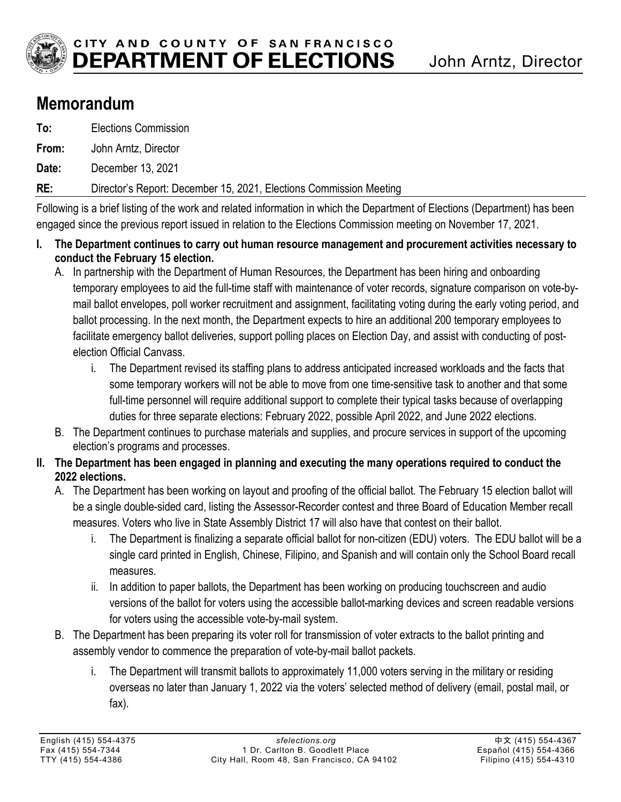

## **Memorandum**

| RE:   | Director's Report: December 15, 2021, Elections Commission Meeting |
|-------|--------------------------------------------------------------------|
| Date: | December 13, 2021                                                  |
| From: | John Arntz, Director                                               |
| To:   | <b>Elections Commission</b>                                        |

Following is a brief listing of the work and related information in which the Department of Elections (Department) has been engaged since the previous report issued in relation to the Elections Commission meeting on November 17, 2021.

- **I. The Department continues to carry out human resource management and procurement activities necessary to conduct the February 15 election.** 
	- A. In partnership with the Department of Human Resources, the Department has been hiring and onboarding temporary employees to aid the full-time staff with maintenance of voter records, signature comparison on vote-bymail ballot envelopes, poll worker recruitment and assignment, facilitating voting during the early voting period, and ballot processing. In the next month, the Department expects to hire an additional 200 temporary employees to facilitate emergency ballot deliveries, support polling places on Election Day, and assist with conducting of postelection Official Canvass.
		- i. The Department revised its staffing plans to address anticipated increased workloads and the facts that some temporary workers will not be able to move from one time-sensitive task to another and that some full-time personnel will require additional support to complete their typical tasks because of overlapping duties for three separate elections: February 2022, possible April 2022, and June 2022 elections.
	- B. The Department continues to purchase materials and supplies, and procure services in support of the upcoming election's programs and processes.
- **II. The Department has been engaged in planning and executing the many operations required to conduct the 2022 elections.** 
	- A. The Department has been working on layout and proofing of the official ballot. The February 15 election ballot will be a single double-sided card, listing the Assessor-Recorder contest and three Board of Education Member recall measures. Voters who live in State Assembly District 17 will also have that contest on their ballot.
		- i. The Department is finalizing a separate official ballot for non-citizen (EDU) voters. The EDU ballot will be a single card printed in English, Chinese, Filipino, and Spanish and will contain only the School Board recall measures.
		- ii. In addition to paper ballots, the Department has been working on producing touchscreen and audio versions of the ballot for voters using the accessible ballot-marking devices and screen readable versions for voters using the accessible vote-by-mail system.
	- B. The Department has been preparing its voter roll for transmission of voter extracts to the ballot printing and assembly vendor to commence the preparation of vote-by-mail ballot packets.
		- i. The Department will transmit ballots to approximately 11,000 voters serving in the military or residing overseas no later than January 1, 2022 via the voters' selected method of delivery (email, postal mail, or fax).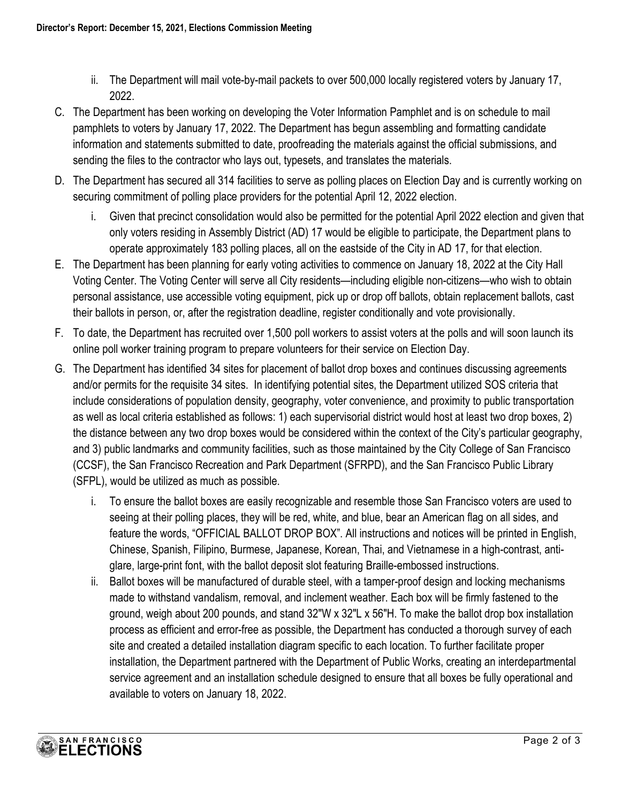- ii. The Department will mail vote-by-mail packets to over 500,000 locally registered voters by January 17, 2022.
- C. The Department has been working on developing the Voter Information Pamphlet and is on schedule to mail pamphlets to voters by January 17, 2022. The Department has begun assembling and formatting candidate information and statements submitted to date, proofreading the materials against the official submissions, and sending the files to the contractor who lays out, typesets, and translates the materials.
- D. The Department has secured all 314 facilities to serve as polling places on Election Day and is currently working on securing commitment of polling place providers for the potential April 12, 2022 election.
	- i. Given that precinct consolidation would also be permitted for the potential April 2022 election and given that only voters residing in Assembly District (AD) 17 would be eligible to participate, the Department plans to operate approximately 183 polling places, all on the eastside of the City in AD 17, for that election.
- E. The Department has been planning for early voting activities to commence on January 18, 2022 at the City Hall Voting Center. The Voting Center will serve all City residents—including eligible non-citizens—who wish to obtain personal assistance, use accessible voting equipment, pick up or drop off ballots, obtain replacement ballots, cast their ballots in person, or, after the registration deadline, register conditionally and vote provisionally.
- F. To date, the Department has recruited over 1,500 poll workers to assist voters at the polls and will soon launch its online poll worker training program to prepare volunteers for their service on Election Day.
- G. The Department has identified 34 sites for placement of ballot drop boxes and continues discussing agreements and/or permits for the requisite 34 sites. In identifying potential sites, the Department utilized SOS criteria that include considerations of population density, geography, voter convenience, and proximity to public transportation as well as local criteria established as follows: 1) each supervisorial district would host at least two drop boxes, 2) the distance between any two drop boxes would be considered within the context of the City's particular geography, and 3) public landmarks and community facilities, such as those maintained by the City College of San Francisco (CCSF), the San Francisco Recreation and Park Department (SFRPD), and the San Francisco Public Library (SFPL), would be utilized as much as possible.
	- i. To ensure the ballot boxes are easily recognizable and resemble those San Francisco voters are used to seeing at their polling places, they will be red, white, and blue, bear an American flag on all sides, and feature the words, "OFFICIAL BALLOT DROP BOX". All instructions and notices will be printed in English, Chinese, Spanish, Filipino, Burmese, Japanese, Korean, Thai, and Vietnamese in a high-contrast, antiglare, large-print font, with the ballot deposit slot featuring Braille-embossed instructions.
	- ii. Ballot boxes will be manufactured of durable steel, with a tamper-proof design and locking mechanisms made to withstand vandalism, removal, and inclement weather. Each box will be firmly fastened to the ground, weigh about 200 pounds, and stand 32″W x 32″L x 56″H. To make the ballot drop box installation process as efficient and error-free as possible, the Department has conducted a thorough survey of each site and created a detailed installation diagram specific to each location. To further facilitate proper installation, the Department partnered with the Department of Public Works, creating an interdepartmental service agreement and an installation schedule designed to ensure that all boxes be fully operational and available to voters on January 18, 2022.